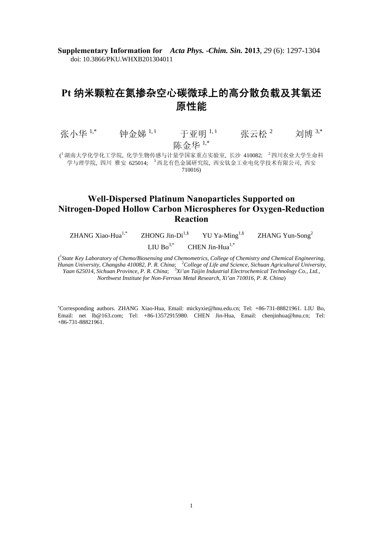**Supplementary Information for** *Acta Phys. -Chim. Sin.* **2013**, *29* (6): 1297-1304 doi: 10.3866/PKU.WHXB201304011

# **Pt** 纳米颗粒在氮掺杂空心碳微球上的高分散负载及其氧还 原性能

张小华 1,\* 钟金娣 1, § 于亚明 <sup>1,§</sup> 张云松 <sup>2</sup> 刘博 <sup>3,\*</sup> 陈金华 1,\*

( <sup>1</sup>湖南大学化学化工学院, 化学生物传感与计量学国家重点实验室, 长沙 410082; <sup>2</sup>四川农业大学生命科 学与理学院, 四川 雅安 625014; 3 西北有色金属研究院, 西安钛金工业电化学技术有限公司, 西安 710016)

## **Well-Dispersed Platinum Nanoparticles Supported on Nitrogen-Doped Hollow Carbon Microspheres for Oxygen-Reduction Reaction**

 $ZHANG Xiao-Hua<sup>1,*</sup>$   $ZHONG Jin-Di<sup>1,*</sup>$   $YU Ya-Ming<sup>1,*</sup>$   $ZHANG Yun-Song<sup>2</sup>$ 

LIU Bo<sup>3,\*</sup> CHEN Jin-Hua<sup>1,\*</sup>

<sup>1</sup> State Key Laboratory of Chemo/Biosensing and Chemometrics, College of Chemistry and Chemical Engineering, Hunan University, Changsha 410082, P. R. China; <sup>2</sup>College of Life and Science, Sichuan Agricultural University, Yaan 625014, Sichuan Province, P. R. China; <sup>3</sup>Xi'an Taijin Industrial Electrochemical Technology Co., Ltd., *Northwest Institute for Non-Ferrous Metal Research, Xi'an 710016, P. R. China*)

∗ Corresponding authors. ZHANG Xiao-Hua, Email: mickyxie@hnu.edu.cn; Tel: +86-731-88821961. LIU Bo, Email: net lb@163.com; Tel: +86-13572915980. CHEN Jin-Hua, Email: chenjinhua@hnu.cn; Tel: +86-731-88821961.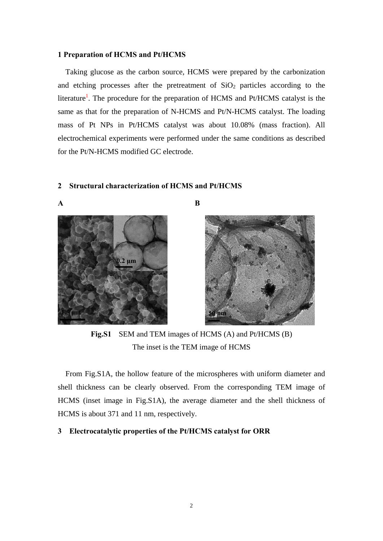### **1 Preparation of HCMS and Pt/HCMS**

Taking glucose as the carbon source, HCMS were prepared by the carbonization and etching processes after the pretreatment of  $SiO<sub>2</sub>$  particles according to the literature<sup>1</sup>. The procedure for the preparation of HCMS and Pt/HCMS catalyst is the same as that for the preparation of N-HCMS and Pt/N-HCMS catalyst. The loading mass of Pt NPs in Pt/HCMS catalyst was about 10.08% (mass fraction). All electrochemical experiments were performed under the same conditions as described for the Pt/N-HCMS modified GC electrode.

#### **2 Structural characterization of HCMS and Pt/HCMS**



**A B** 



**Fig.S1** SEM and TEM images of HCMS (A) and Pt/HCMS (B) The inset is the TEM image of HCMS

From Fig.S1A, the hollow feature of the microspheres with uniform diameter and shell thickness can be clearly observed. From the corresponding TEM image of HCMS (inset image in Fig.S1A), the average diameter and the shell thickness of HCMS is about 371 and 11 nm, respectively.

## **3 Electrocatalytic properties of the Pt/HCMS catalyst for ORR**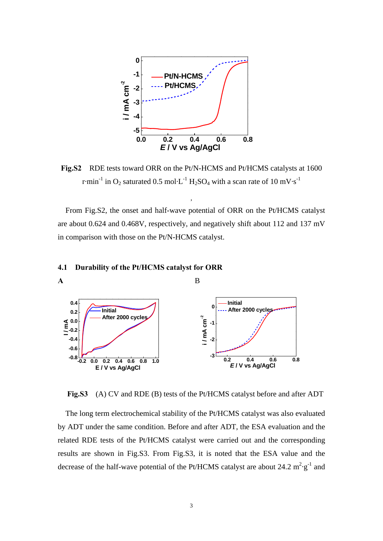

**Fig.S2** RDE tests toward ORR on the Pt/N-HCMS and Pt/HCMS catalysts at 1600 r·min<sup>-1</sup> in O<sub>2</sub> saturated 0.5 mol·L<sup>-1</sup> H<sub>2</sub>SO<sub>4</sub> with a scan rate of 10 mV·s<sup>-1</sup>

,

From Fig.S2, the onset and half-wave potential of ORR on the Pt/HCMS catalyst are about 0.624 and 0.468V, respectively, and negatively shift about 112 and 137 mV in comparison with those on the Pt/N-HCMS catalyst.

## **4.1 Durability of the Pt/HCMS catalyst for ORR**



**Fig.S3** (A) CV and RDE (B) tests of the Pt/HCMS catalyst before and after ADT

The long term electrochemical stability of the Pt/HCMS catalyst was also evaluated by ADT under the same condition. Before and after ADT, the ESA evaluation and the related RDE tests of the Pt/HCMS catalyst were carried out and the corresponding results are shown in Fig.S3. From Fig.S3, it is noted that the ESA value and the decrease of the half-wave potential of the Pt/HCMS catalyst are about 24.2  $m^2 \cdot g^{-1}$  and